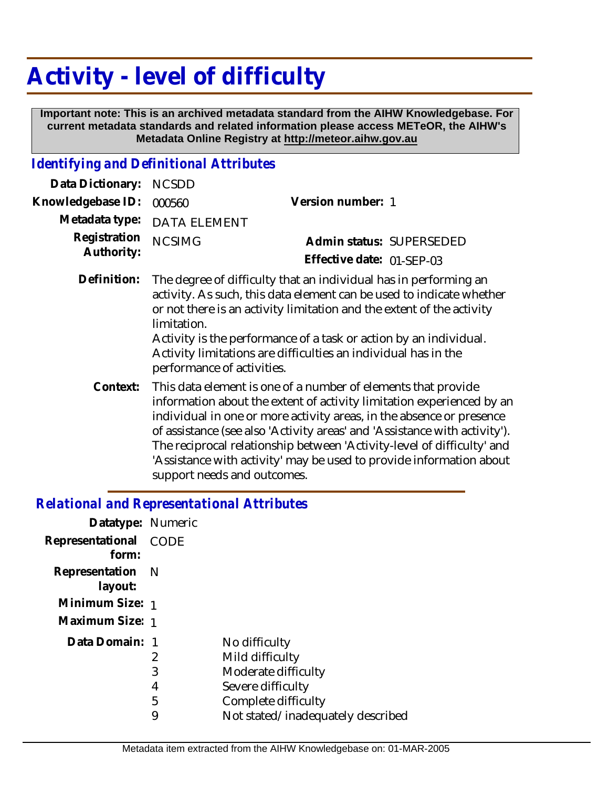## **Activity - level of difficulty**

 **Important note: This is an archived metadata standard from the AIHW Knowledgebase. For current metadata standards and related information please access METeOR, the AIHW's Metadata Online Registry at http://meteor.aihw.gov.au**

## *Identifying and Definitional Attributes*

| Data Dictionary:           | <b>NCSDD</b>                                                                                                                                                                                                                                                                                                                                                                                                                                                                |                           |  |
|----------------------------|-----------------------------------------------------------------------------------------------------------------------------------------------------------------------------------------------------------------------------------------------------------------------------------------------------------------------------------------------------------------------------------------------------------------------------------------------------------------------------|---------------------------|--|
| Knowledgebase ID:          | 000560                                                                                                                                                                                                                                                                                                                                                                                                                                                                      | Version number: 1         |  |
| Metadata type:             | <b>DATA ELEMENT</b>                                                                                                                                                                                                                                                                                                                                                                                                                                                         |                           |  |
| Registration<br>Authority: | <b>NCSIMG</b>                                                                                                                                                                                                                                                                                                                                                                                                                                                               | Admin status: SUPERSEDED  |  |
|                            |                                                                                                                                                                                                                                                                                                                                                                                                                                                                             | Effective date: 01-SEP-03 |  |
| Definition:                | The degree of difficulty that an individual has in performing an<br>activity. As such, this data element can be used to indicate whether<br>or not there is an activity limitation and the extent of the activity<br>limitation.<br>Activity is the performance of a task or action by an individual.<br>Activity limitations are difficulties an individual has in the<br>performance of activities.                                                                       |                           |  |
| Context:                   | This data element is one of a number of elements that provide<br>information about the extent of activity limitation experienced by an<br>individual in one or more activity areas, in the absence or presence<br>of assistance (see also 'Activity areas' and 'Assistance with activity').<br>The reciprocal relationship between 'Activity-level of difficulty' and<br>'Assistance with activity' may be used to provide information about<br>support needs and outcomes. |                           |  |

## *Relational and Representational Attributes*

| Datatype: Numeric           |             |                                   |
|-----------------------------|-------------|-----------------------------------|
| Representational<br>form:   | <b>CODE</b> |                                   |
| Representation N<br>layout: |             |                                   |
| Minimum Size: 1             |             |                                   |
| Maximum Size: 1             |             |                                   |
| Data Domain: 1              |             | No difficulty                     |
|                             | 2           | Mild difficulty                   |
|                             | 3           | Moderate difficulty               |
|                             | 4           | Severe difficulty                 |
|                             | 5           | Complete difficulty               |
|                             | 9           | Not stated/inadequately described |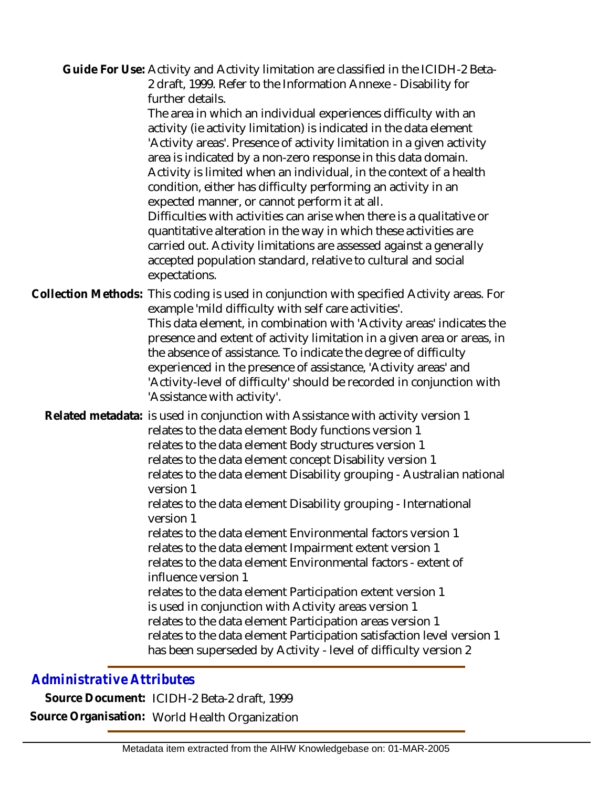Guide For Use: Activity and Activity limitation are classified in the ICIDH-2 Beta-2 draft, 1999. Refer to the Information Annexe - Disability for further details.

The area in which an individual experiences difficulty with an activity (ie activity limitation) is indicated in the data element 'Activity areas'. Presence of activity limitation in a given activity area is indicated by a non-zero response in this data domain. Activity is limited when an individual, in the context of a health condition, either has difficulty performing an activity in an expected manner, or cannot perform it at all.

Difficulties with activities can arise when there is a qualitative or quantitative alteration in the way in which these activities are carried out. Activity limitations are assessed against a generally accepted population standard, relative to cultural and social expectations.

Collection Methods: This coding is used in conjunction with specified Activity areas. For example 'mild difficulty with self care activities'. This data element, in combination with 'Activity areas' indicates the presence and extent of activity limitation in a given area or areas, in the absence of assistance. To indicate the degree of difficulty experienced in the presence of assistance, 'Activity areas' and 'Activity-level of difficulty' should be recorded in conjunction with 'Assistance with activity'.

Related metadata: is used in conjunction with Assistance with activity version 1 relates to the data element Body functions version 1 relates to the data element Body structures version 1 relates to the data element concept Disability version 1 relates to the data element Disability grouping - Australian national version 1 relates to the data element Disability grouping - International version 1 relates to the data element Environmental factors version 1 relates to the data element Impairment extent version 1 relates to the data element Environmental factors - extent of influence version 1 relates to the data element Participation extent version 1 is used in conjunction with Activity areas version 1

relates to the data element Participation areas version 1 relates to the data element Participation satisfaction level version 1 has been superseded by Activity - level of difficulty version 2

## *Administrative Attributes*

**Source Document:** ICIDH-2 Beta-2 draft, 1999 **Source Organisation:** World Health Organization